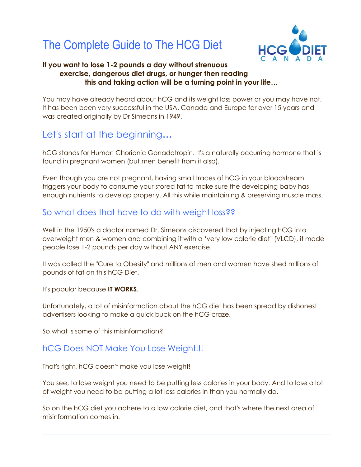# The Complete Guide to The HCG Diet



#### **If you want to lose 1-2 pounds a day without strenuous exercise, dangerous diet drugs, or hunger then reading this and taking action will be a turning point in your life…**

You may have already heard about hCG and its weight loss power or you may have not. It has been been very successful in the USA, Canada and Europe for over 15 years and was created originally by Dr Simeons in 1949.

# Let's start at the beginning**…**

hCG stands for Human Chorionic Gonadotropin. It's a naturally occurring hormone that is found in pregnant women (but men benefit from it also).

Even though you are not pregnant, having small traces of hCG in your bloodstream triggers your body to consume your stored fat to make sure the developing baby has enough nutrients to develop properly. All this while maintaining & preserving muscle mass.

#### So what does that have to do with weight loss??

Well in the 1950's a doctor named Dr. Simeons discovered that by injecting hCG into overweight men & women and combining it with a 'very low calorie diet' (VLCD), it made people lose 1-2 pounds per day without ANY exercise.

It was called the "Cure to Obesity" and millions of men and women have shed millions of pounds of fat on this hCG Diet.

It's popular because **IT WORKS**.

Unfortunately, a lot of misinformation about the hCG diet has been spread by dishonest advertisers looking to make a quick buck on the hCG craze.

So what is some of this misinformation?

#### hCG Does NOT Make You Lose Weight!!!

That's right. hCG doesn't make you lose weight!

You see, to lose weight you need to be putting less calories in your body. And to lose a lot of weight you need to be putting a lot less calories in than you normally do.

So on the hCG diet you adhere to a low calorie diet, and that's where the next area of misinformation comes in.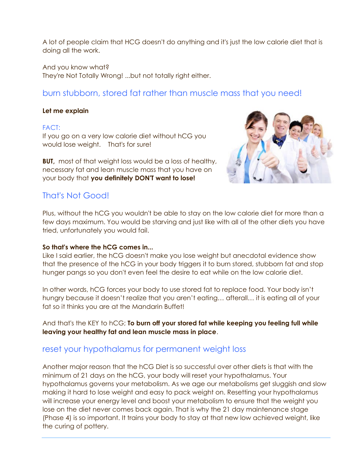A lot of people claim that HCG doesn't do anything and it's just the low calorie diet that is doing all the work.

And you know what?

They're Not Totally Wrong! ...but not totally right either.

## burn stubborn, stored fat rather than muscle mass that you need!

#### **Let me explain**

#### FACT:

If you go on a very low calorie diet without hCG you would lose weight. That's for sure!

**BUT,** most of that weight loss would be a loss of healthy, necessary fat and lean muscle mass that you have on your body that **you definitely DON'T want to lose!**



#### That's Not Good!

Plus, without the hCG you wouldn't be able to stay on the low calorie diet for more than a few days maximum. You would be starving and just like with all of the other diets you have tried, unfortunately you would fail.

#### **So that's where the hCG comes in...**

Like I said earlier, the hCG doesn't make you lose weight but anecdotal evidence show that the presence of the hCG in your body triggers it to burn stored, stubborn fat and stop hunger pangs so you don't even feel the desire to eat while on the low calorie diet.

In other words, hCG forces your body to use stored fat to replace food. Your body isn't hungry because it doesn't realize that you aren't eating… afterall… it is eating all of your fat so it thinks you are at the Mandarin Buffet!

And that's the KEY to hCG; **To burn off your stored fat while keeping you feeling full while leaving your healthy fat and lean muscle mass in place**.

#### reset your hypothalamus for permanent weight loss

Another major reason that the hCG Diet is so successful over other diets is that with the minimum of 21 days on the hCG, your body will reset your hypothalamus. Your hypothalamus governs your metabolism. As we age our metabolisms get sluggish and slow making it hard to lose weight and easy to pack weight on. Resetting your hypothalamus will increase your energy level and boost your metabolism to ensure that the weight you lose on the diet never comes back again. That is why the 21 day maintenance stage (Phase 4) is so important. It trains your body to stay at that new low achieved weight, like the curing of pottery.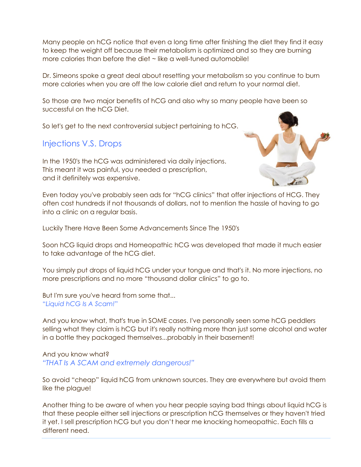Many people on hCG notice that even a long time after finishing the diet they find it easy to keep the weight off because their metabolism is optimized and so they are burning more calories than before the diet ~ like a well-tuned automobile!

Dr. Simeons spoke a great deal about resetting your metabolism so you continue to burn more calories when you are off the low calorie diet and return to your normal diet.

So those are two major benefits of hCG and also why so many people have been so successful on the hCG Diet.

So let's get to the next controversial subject pertaining to hCG.

## Injections V.S. Drops

In the 1950's the hCG was administered via daily injections. This meant it was painful, you needed a prescription, and it definitely was expensive.



Even today you've probably seen ads for "hCG clinics" that offer injections of HCG. They often cost hundreds if not thousands of dollars, not to mention the hassle of having to go into a clinic on a regular basis.

Luckily There Have Been Some Advancements Since The 1950's

Soon hCG liquid drops and Homeopathic hCG was developed that made it much easier to take advantage of the hCG diet.

You simply put drops of liquid hCG under your tongue and that's it. No more injections, no more prescriptions and no more "thousand dollar clinics" to go to.

But I'm sure you've heard from some that... "*Liquid hCG Is A Scam!*"

And you know what, that's true in SOME cases. I've personally seen some hCG peddlers selling what they claim is hCG but it's really nothing more than just some alcohol and water in a bottle they packaged themselves...probably in their basement!

## And you know what?

*"THAT Is A SCAM and extremely dangerous!"*

So avoid "cheap" liquid hCG from unknown sources. They are everywhere but avoid them like the plague!

Another thing to be aware of when you hear people saying bad things about liquid hCG is that these people either sell injections or prescription hCG themselves or they haven't tried it yet. I sell prescription hCG but you don't hear me knocking homeopathic. Each fills a different need.